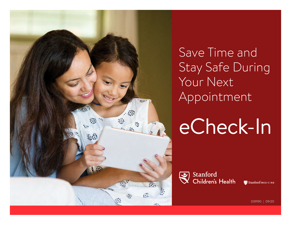

Save Time and Stay Safe During Your Next Appointment

eCheck-In

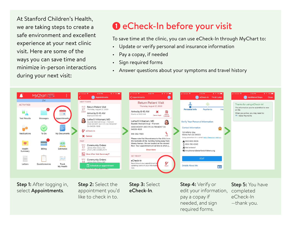At Stanford Children's Health, we are taking steps to create a safe environment and excellent experience at your next clinic visit. Here are some of the ways you can save time and minimize in-person interactions during your next visit:

## **1** eCheck-In before your visit

To save time at the clinic, you can use eCheck-In through MyChart to:

- Update or verify personal and insurance information
- Pay a copay, if needed
- Sign required forms
- Answer questions about your symptoms and travel history



Step 1: After logging in, select Appointments.

Step 2: Select the appointment you'd like to check in to.

Step 3: Select eCheck-In.

Step 4: Verify or edit your information, pay a copay if needed, and sign required forms.

Step 5: You have completed eCheck-In —thank you.